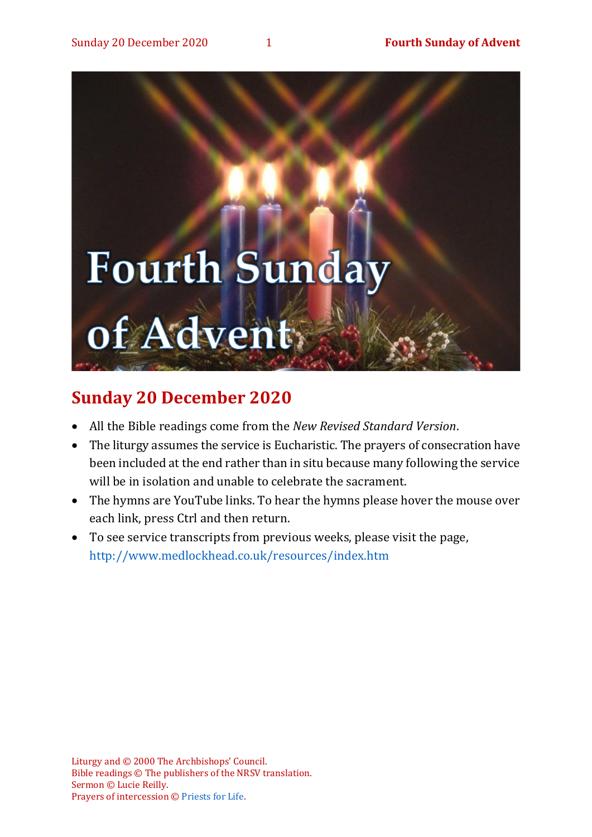# **Fourth Sunday** of Advent:

## **Sunday 20 December 2020**

- All the Bible readings come from the *New Revised Standard Version*.
- The liturgy assumes the service is Eucharistic. The prayers of consecration have been included at the end rather than in situ because many following the service will be in isolation and unable to celebrate the sacrament.
- The hymns are YouTube links. To hear the hymns please hover the mouse over each link, press Ctrl and then return.
- To see service transcripts from previous weeks, please visit the page, <http://www.medlockhead.co.uk/resources/index.htm>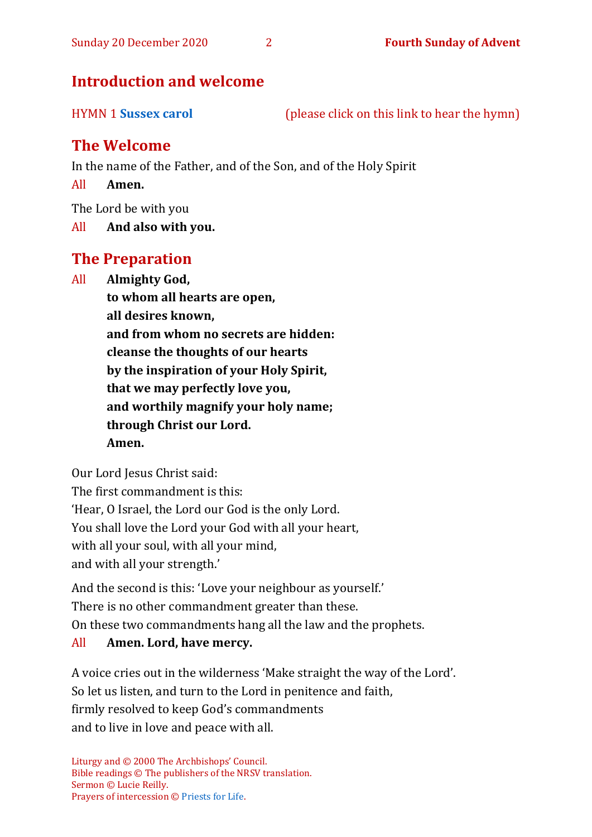#### **Introduction and welcome**

HYMN 1 **[Sussex carol](https://www.youtube.com/watch?v=2cmfCq8iKgY)** (please click on this link to hear the hymn)

#### **The Welcome**

In the name of the Father, and of the Son, and of the Holy Spirit

All **Amen.**

The Lord be with you

All **And also with you.**

#### **The Preparation**

All **Almighty God,**

**to whom all hearts are open, all desires known, and from whom no secrets are hidden: cleanse the thoughts of our hearts by the inspiration of your Holy Spirit, that we may perfectly love you, and worthily magnify your holy name; through Christ our Lord. Amen.**

Our Lord Jesus Christ said:

The first commandment is this: 'Hear, O Israel, the Lord our God is the only Lord. You shall love the Lord your God with all your heart, with all your soul, with all your mind,

and with all your strength.'

And the second is this: 'Love your neighbour as yourself.' There is no other commandment greater than these. On these two commandments hang all the law and the prophets.

### All **Amen. Lord, have mercy.**

A voice cries out in the wilderness 'Make straight the way of the Lord'. So let us listen, and turn to the Lord in penitence and faith, firmly resolved to keep God's commandments and to live in love and peace with all.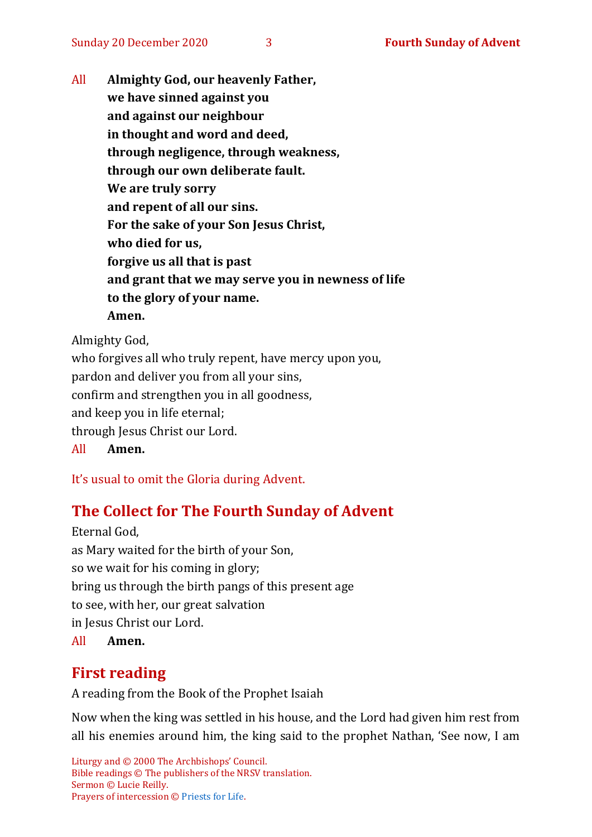All **Almighty God, our heavenly Father, we have sinned against you and against our neighbour in thought and word and deed, through negligence, through weakness, through our own deliberate fault. We are truly sorry and repent of all our sins. For the sake of your Son Jesus Christ, who died for us, forgive us all that is past and grant that we may serve you in newness of life to the glory of your name. Amen.**

Almighty God,

who forgives all who truly repent, have mercy upon you, pardon and deliver you from all your sins, confirm and strengthen you in all goodness, and keep you in life eternal; through Jesus Christ our Lord. All **Amen.**

It's usual to omit the Gloria during Advent.

#### **The Collect for The Fourth Sunday of Advent**

Eternal God, as Mary waited for the birth of your Son, so we wait for his coming in glory; bring us through the birth pangs of this present age to see, with her, our great salvation in Jesus Christ our Lord. All **Amen.**

#### **First reading**

A reading from the Book of the Prophet Isaiah

Now when the king was settled in his house, and the Lord had given him rest from all his enemies around him, the king said to the prophet Nathan, 'See now, I am

Liturgy and © 2000 The Archbishops' Council. Bible readings © The publishers of the NRSV translation. Sermon © Lucie Reilly. Prayers of intercession © [Priests for Life.](https://www.priestsforlife.org/prayers/weeklyint/4adventb.pdf)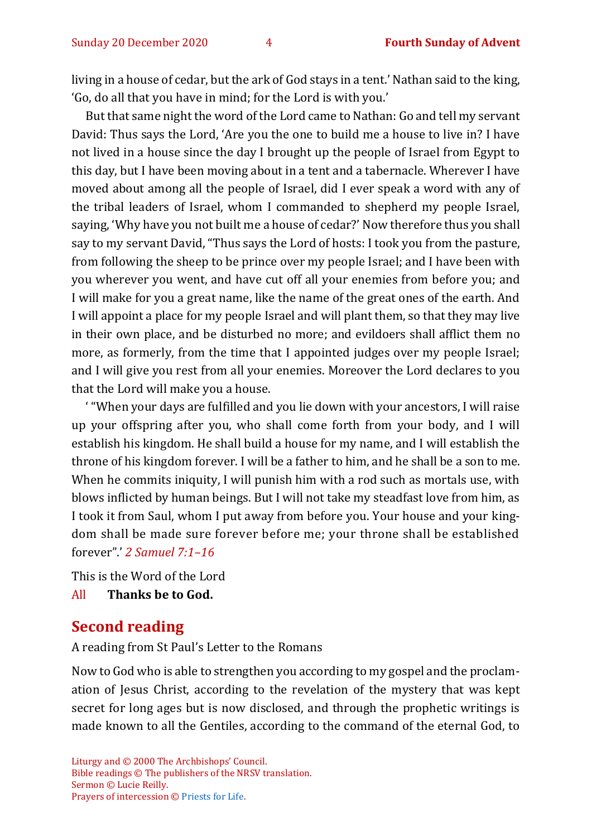living in a house of cedar, but the ark of God stays in a tent.' Nathan said to the king, 'Go, do all that you have in mind; for the Lord is with you.'

But that same night the word of the Lord came to Nathan: Go and tell my servant David: Thus says the Lord, 'Are you the one to build me a house to live in? I have not lived in a house since the day I brought up the people of Israel from Egypt to this day, but I have been moving about in a tent and a tabernacle. Wherever I have moved about among all the people of Israel, did I ever speak a word with any of the tribal leaders of Israel, whom I commanded to shepherd my people Israel, saying, 'Why have you not built me a house of cedar?' Now therefore thus you shall say to my servant David, "Thus says the Lord of hosts: I took you from the pasture, from following the sheep to be prince over my people Israel; and I have been with you wherever you went, and have cut off all your enemies from before you; and I will make for you a great name, like the name of the great ones of the earth. And I will appoint a place for my people Israel and will plant them, so that they may live in their own place, and be disturbed no more; and evildoers shall afflict them no more, as formerly, from the time that I appointed judges over my people Israel; and I will give you rest from all your enemies. Moreover the Lord declares to you that the Lord will make you a house.

' "When your days are fulfilled and you lie down with your ancestors, I will raise up your offspring after you, who shall come forth from your body, and I will establish his kingdom. He shall build a house for my name, and I will establish the throne of his kingdom forever. I will be a father to him, and he shall be a son to me. When he commits iniquity, I will punish him with a rod such as mortals use, with blows inflicted by human beings. But I will not take my steadfast love from him, as I took it from Saul, whom I put away from before you. Your house and your kingdom shall be made sure forever before me; your throne shall be established forever".' *2 Samuel 7:1–16*

This is the Word of the Lord All **Thanks be to God.**

#### **Second reading**

A reading from St Paul's Letter to the Romans

Now to God who is able to strengthen you according to my gospel and the proclamation of Jesus Christ, according to the revelation of the mystery that was kept secret for long ages but is now disclosed, and through the prophetic writings is made known to all the Gentiles, according to the command of the eternal God, to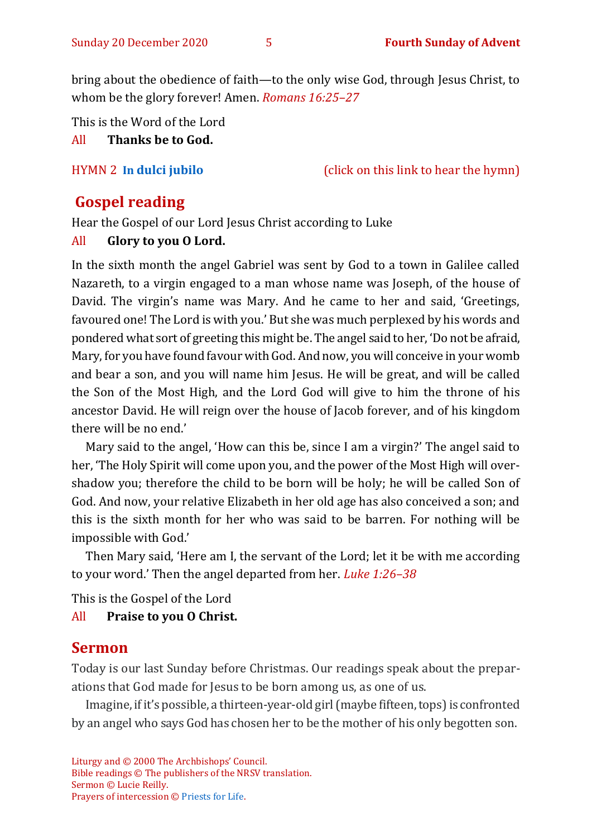bring about the obedience of faith—to the only wise God, through Jesus Christ, to whom be the glory forever! Amen. *Romans 16:25–27*

This is the Word of the Lord

All **Thanks be to God.**

HYMN 2 **[In](https://youtu.be/aX0GNIOfB9U) [dulci jubilo](https://youtu.be/aX0GNIOfB9U)** (click on this link to hear the hymn)

#### **Gospel reading**

Hear the Gospel of our Lord Jesus Christ according to Luke

#### All **Glory to you O Lord.**

In the sixth month the angel Gabriel was sent by God to a town in Galilee called Nazareth, to a virgin engaged to a man whose name was Joseph, of the house of David. The virgin's name was Mary. And he came to her and said, 'Greetings, favoured one! The Lord is with you.' But she was much perplexed by his words and pondered what sort of greeting this might be. The angel said to her, 'Do not be afraid, Mary, for you have found favour with God. And now, you will conceive in your womb and bear a son, and you will name him Jesus. He will be great, and will be called the Son of the Most High, and the Lord God will give to him the throne of his ancestor David. He will reign over the house of Jacob forever, and of his kingdom there will be no end.'

Mary said to the angel, 'How can this be, since I am a virgin?' The angel said to her, 'The Holy Spirit will come upon you, and the power of the Most High will overshadow you; therefore the child to be born will be holy; he will be called Son of God. And now, your relative Elizabeth in her old age has also conceived a son; and this is the sixth month for her who was said to be barren. For nothing will be impossible with God.'

Then Mary said, 'Here am I, the servant of the Lord; let it be with me according to your word.' Then the angel departed from her. *Luke 1:26–38*

This is the Gospel of the Lord

All **Praise to you O Christ.** 

#### **Sermon**

Today is our last Sunday before Christmas. Our readings speak about the preparations that God made for Jesus to be born among us, as one of us.

Imagine, if it's possible, a thirteen-year-old girl (maybe fifteen, tops) is confronted by an angel who says God has chosen her to be the mother of his only begotten son.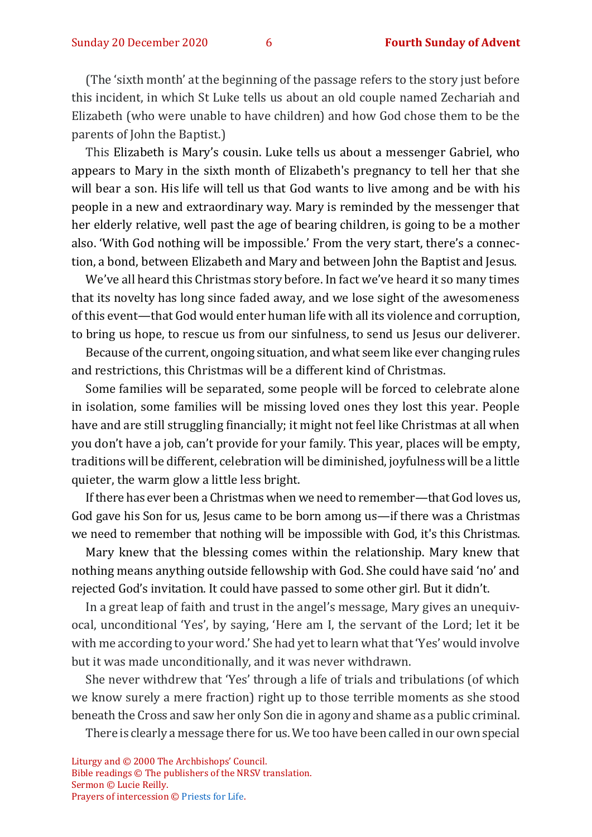(The 'sixth month' at the beginning of the passage refers to the story just before this incident, in which St Luke tells us about an old couple named Zechariah and Elizabeth (who were unable to have children) and how God chose them to be the parents of John the Baptist.)

This Elizabeth is Mary's cousin. Luke tells us about a messenger Gabriel, who appears to Mary in the sixth month of Elizabeth's pregnancy to tell her that she will bear a son. His life will tell us that God wants to live among and be with his people in a new and extraordinary way. Mary is reminded by the messenger that her elderly relative, well past the age of bearing children, is going to be a mother also. 'With God nothing will be impossible.' From the very start, there's a connection, a bond, between Elizabeth and Mary and between John the Baptist and Jesus.

We've all heard this Christmas story before. In fact we've heard it so many times that its novelty has long since faded away, and we lose sight of the awesomeness of this event—that God would enter human life with all its violence and corruption, to bring us hope, to rescue us from our sinfulness, to send us Jesus our deliverer.

Because of the current, ongoing situation, and what seem like ever changing rules and restrictions, this Christmas will be a different kind of Christmas.

Some families will be separated, some people will be forced to celebrate alone in isolation, some families will be missing loved ones they lost this year. People have and are still struggling financially; it might not feel like Christmas at all when you don't have a job, can't provide for your family. This year, places will be empty, traditions will be different, celebration will be diminished, joyfulness will be a little quieter, the warm glow a little less bright.

If there has ever been a Christmas when we need to remember—that God loves us, God gave his Son for us, Jesus came to be born among us—if there was a Christmas we need to remember that nothing will be impossible with God, it's this Christmas.

Mary knew that the blessing comes within the relationship. Mary knew that nothing means anything outside fellowship with God. She could have said 'no' and rejected God's invitation. It could have passed to some other girl. But it didn't.

In a great leap of faith and trust in the angel's message, Mary gives an unequivocal, unconditional 'Yes', by saying, 'Here am I, the servant of the Lord; let it be with me according to your word.' She had yet to learn what that 'Yes' would involve but it was made unconditionally, and it was never withdrawn.

She never withdrew that 'Yes' through a life of trials and tribulations (of which we know surely a mere fraction) right up to those terrible moments as she stood beneath the Cross and saw her only Son die in agony and shame as a public criminal.

There is clearly a message there for us. We too have been called in our own special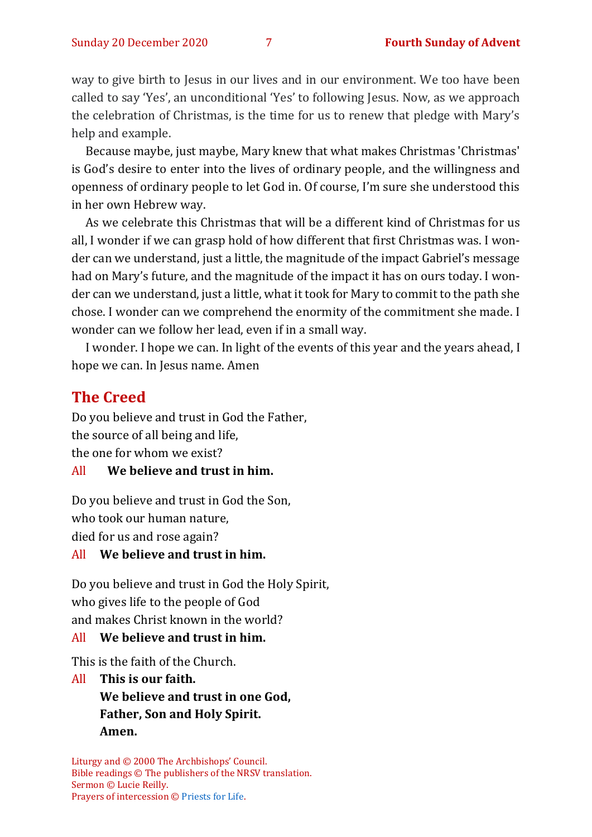way to give birth to Jesus in our lives and in our environment. We too have been called to say 'Yes', an unconditional 'Yes' to following Jesus. Now, as we approach the celebration of Christmas, is the time for us to renew that pledge with Mary's help and example.

Because maybe, just maybe, Mary knew that what makes Christmas 'Christmas' is God's desire to enter into the lives of ordinary people, and the willingness and openness of ordinary people to let God in. Of course, I'm sure she understood this in her own Hebrew way.

As we celebrate this Christmas that will be a different kind of Christmas for us all, I wonder if we can grasp hold of how different that first Christmas was. I wonder can we understand, just a little, the magnitude of the impact Gabriel's message had on Mary's future, and the magnitude of the impact it has on ours today. I wonder can we understand, just a little, what it took for Mary to commit to the path she chose. I wonder can we comprehend the enormity of the commitment she made. I wonder can we follow her lead, even if in a small way.

I wonder. I hope we can. In light of the events of this year and the years ahead, I hope we can. In Jesus name. Amen

#### **The Creed**

Do you believe and trust in God the Father, the source of all being and life, the one for whom we exist?

#### All **We believe and trust in him.**

Do you believe and trust in God the Son, who took our human nature, died for us and rose again?

#### All **We believe and trust in him.**

Do you believe and trust in God the Holy Spirit, who gives life to the people of God and makes Christ known in the world?

#### All **We believe and trust in him.**

This is the faith of the Church.

All **This is our faith. We believe and trust in one God, Father, Son and Holy Spirit. Amen.**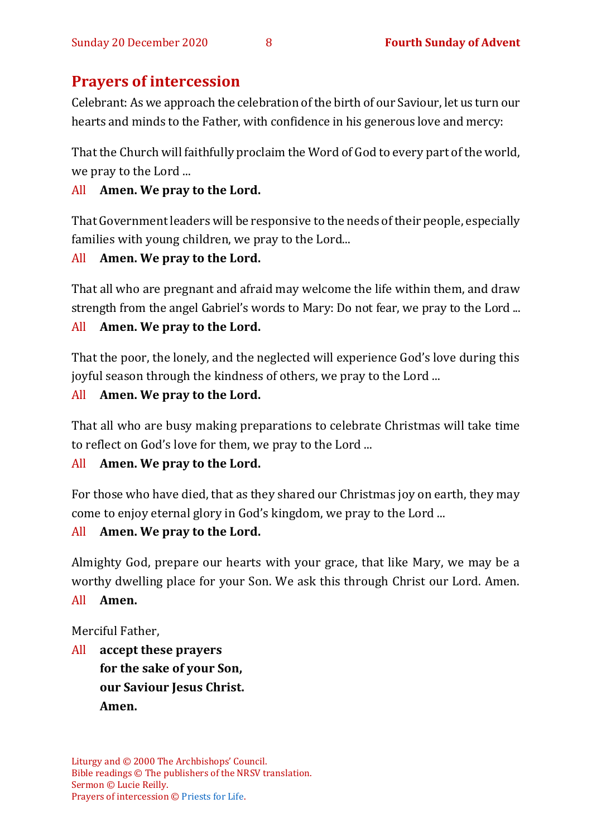#### **Prayers of intercession**

Celebrant: As we approach the celebration of the birth of our Saviour, let us turn our hearts and minds to the Father, with confidence in his generous love and mercy:

That the Church will faithfully proclaim the Word of God to every part of the world, we pray to the Lord ...

#### All **Amen. We pray to the Lord.**

That Government leaders will be responsive to the needs of their people, especially families with young children, we pray to the Lord...

#### All **Amen. We pray to the Lord.**

That all who are pregnant and afraid may welcome the life within them, and draw strength from the angel Gabriel's words to Mary: Do not fear, we pray to the Lord ...

#### All **Amen. We pray to the Lord.**

That the poor, the lonely, and the neglected will experience God's love during this joyful season through the kindness of others, we pray to the Lord ...

#### All **Amen. We pray to the Lord.**

That all who are busy making preparations to celebrate Christmas will take time to reflect on God's love for them, we pray to the Lord ...

#### All **Amen. We pray to the Lord.**

For those who have died, that as they shared our Christmas joy on earth, they may come to enjoy eternal glory in God's kingdom, we pray to the Lord ...

#### All **Amen. We pray to the Lord.**

Almighty God, prepare our hearts with your grace, that like Mary, we may be a worthy dwelling place for your Son. We ask this through Christ our Lord. Amen. All **Amen.**

Merciful Father,

All **accept these prayers for the sake of your Son, our Saviour Jesus Christ. Amen.**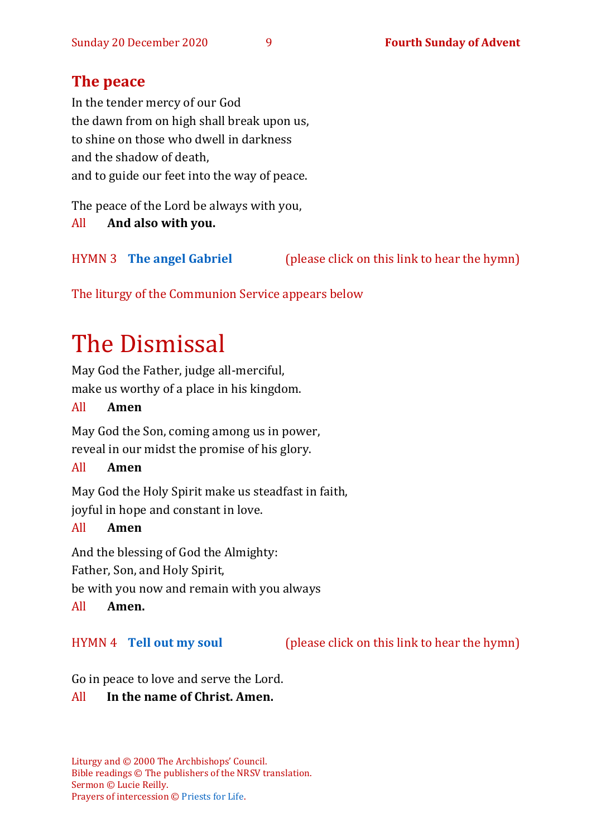#### **The peace**

In the tender mercy of our God the dawn from on high shall break upon us, to shine on those who dwell in darkness and the shadow of death, and to guide our feet into the way of peace.

The peace of the Lord be always with you, All **And also with you.**

HYMN 3 **[The angel Gabriel](https://www.youtube.com/watch?v=pliqObTHxUQ)** (please click on this link to hear the hymn)

The liturgy of the Communion Service appears below

# The Dismissal

May God the Father, judge all-merciful, make us worthy of a place in his kingdom.

#### All **Amen**

May God the Son, coming among us in power, reveal in our midst the promise of his glory.

#### All **Amen**

May God the Holy Spirit make us steadfast in faith, joyful in hope and constant in love.

#### All **Amen**

And the blessing of God the Almighty: Father, Son, and Holy Spirit,

be with you now and remain with you always

All **Amen.**

HYMN 4 **[Tell out my](https://www.youtube.com/watch?v=-_JnUppvTAQ) soul** (please click on this link to hear the hymn)

Go in peace to love and serve the Lord.

#### All **In the name of Christ. Amen.**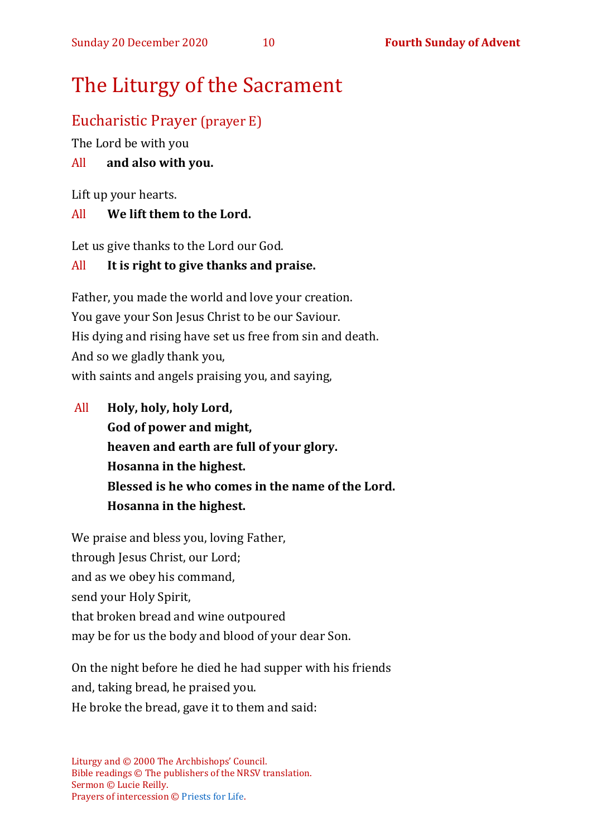# The Liturgy of the Sacrament

#### Eucharistic Prayer (prayer E)

The Lord be with you

#### All **and also with you.**

Lift up your hearts.

#### All **We lift them to the Lord.**

Let us give thanks to the Lord our God.

#### All **It is right to give thanks and praise.**

Father, you made the world and love your creation. You gave your Son Jesus Christ to be our Saviour. His dying and rising have set us free from sin and death. And so we gladly thank you, with saints and angels praising you, and saying,

All **Holy, holy, holy Lord, God of power and might, heaven and earth are full of your glory. Hosanna in the highest. Blessed is he who comes in the name of the Lord. Hosanna in the highest.**

We praise and bless you, loving Father, through Jesus Christ, our Lord; and as we obey his command, send your Holy Spirit, that broken bread and wine outpoured may be for us the body and blood of your dear Son.

On the night before he died he had supper with his friends and, taking bread, he praised you. He broke the bread, gave it to them and said: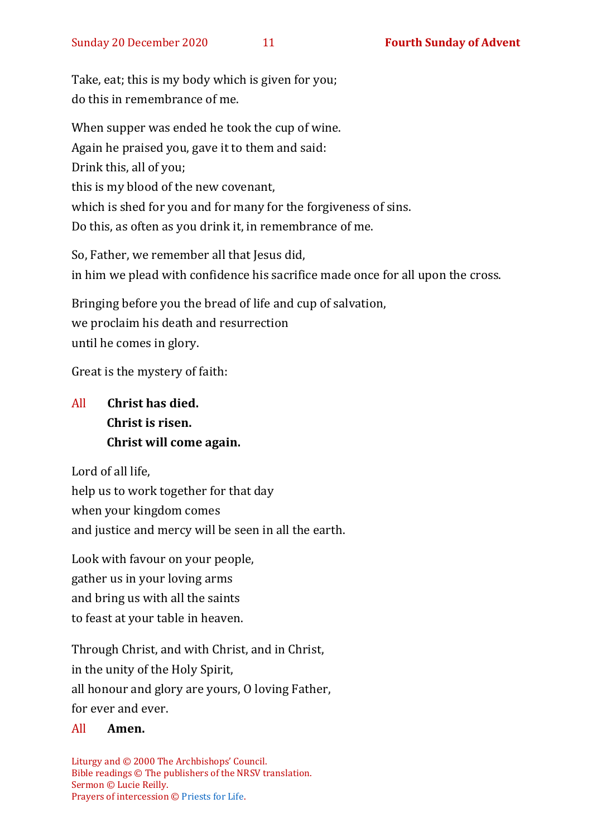Take, eat; this is my body which is given for you; do this in remembrance of me.

When supper was ended he took the cup of wine. Again he praised you, gave it to them and said: Drink this, all of you; this is my blood of the new covenant, which is shed for you and for many for the forgiveness of sins. Do this, as often as you drink it, in remembrance of me.

So, Father, we remember all that Jesus did, in him we plead with confidence his sacrifice made once for all upon the cross.

Bringing before you the bread of life and cup of salvation, we proclaim his death and resurrection until he comes in glory.

Great is the mystery of faith:

#### All **Christ has died. Christ is risen. Christ will come again.**

Lord of all life,

help us to work together for that day when your kingdom comes and justice and mercy will be seen in all the earth.

Look with favour on your people, gather us in your loving arms and bring us with all the saints to feast at your table in heaven.

Through Christ, and with Christ, and in Christ, in the unity of the Holy Spirit, all honour and glory are yours, O loving Father, for ever and ever.

#### All **Amen.**

Liturgy and © 2000 The Archbishops' Council. Bible readings © The publishers of the NRSV translation. Sermon © Lucie Reilly. Prayers of intercession © [Priests for Life.](https://www.priestsforlife.org/prayers/weeklyint/4adventb.pdf)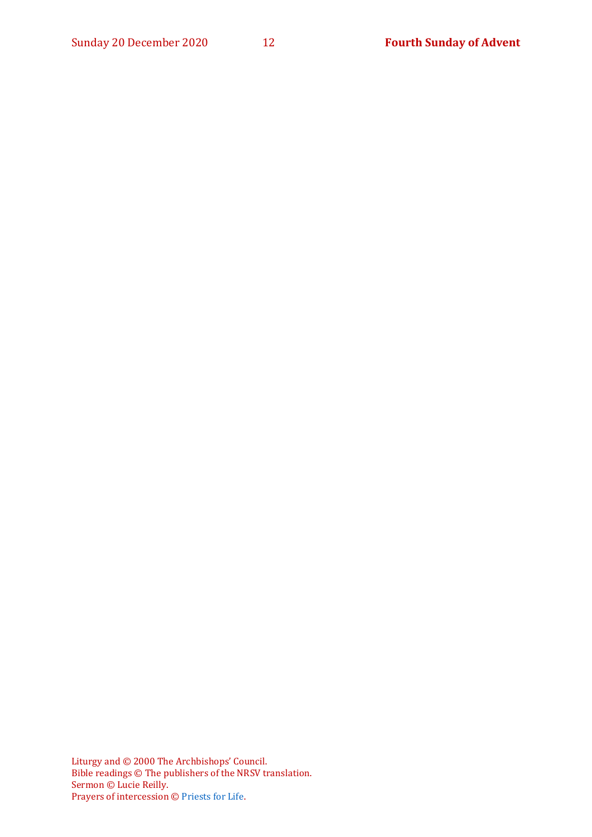Liturgy and © 2000 The Archbishops' Council. Bible readings © The publishers of the NRSV translation. Sermon © Lucie Reilly. Prayers of intercession © [Priests for Life.](https://www.priestsforlife.org/prayers/weeklyint/4adventb.pdf)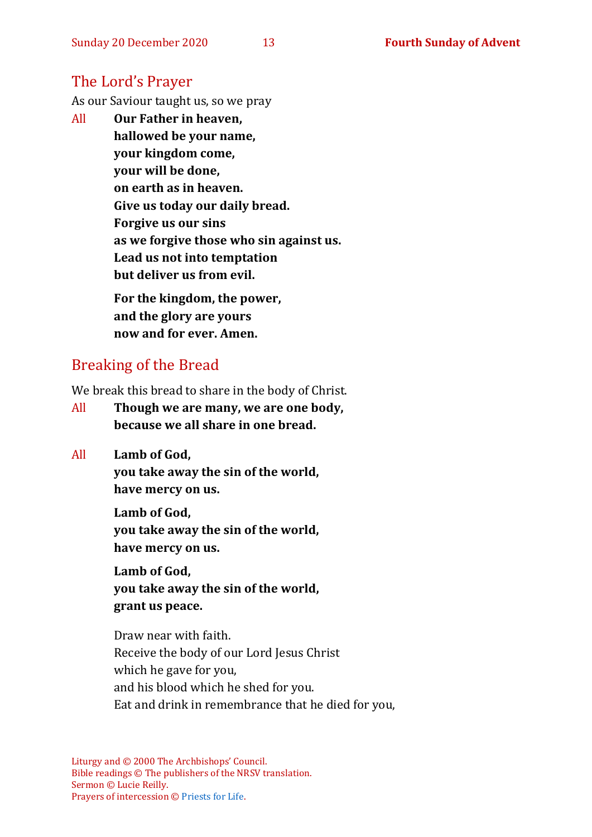#### The Lord's Prayer

As our Saviour taught us, so we pray

All **Our Father in heaven, hallowed be your name, your kingdom come, your will be done, on earth as in heaven. Give us today our daily bread. Forgive us our sins as we forgive those who sin against us. Lead us not into temptation but deliver us from evil. For the kingdom, the power,** 

**and the glory are yours now and for ever. Amen.**

#### Breaking of the Bread

We break this bread to share in the body of Christ.

- All **Though we are many, we are one body, because we all share in one bread.**
- All **Lamb of God,**

**you take away the sin of the world, have mercy on us.**

**Lamb of God, you take away the sin of the world, have mercy on us.**

**Lamb of God, you take away the sin of the world, grant us peace.**

Draw near with faith. Receive the body of our Lord Jesus Christ which he gave for you, and his blood which he shed for you. Eat and drink in remembrance that he died for you,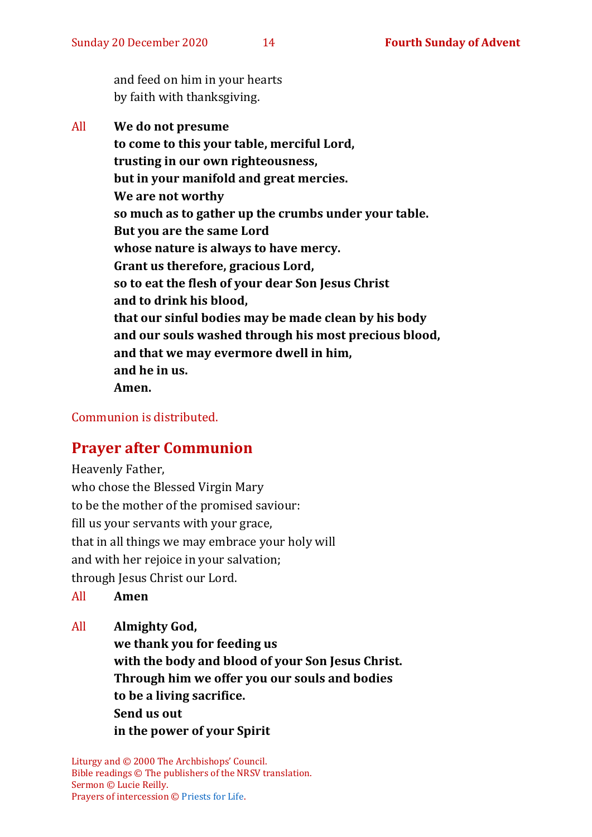and feed on him in your hearts by faith with thanksgiving.

All **We do not presume to come to this your table, merciful Lord, trusting in our own righteousness, but in your manifold and great mercies. We are not worthy so much as to gather up the crumbs under your table. But you are the same Lord whose nature is always to have mercy. Grant us therefore, gracious Lord, so to eat the flesh of your dear Son Jesus Christ and to drink his blood, that our sinful bodies may be made clean by his body and our souls washed through his most precious blood, and that we may evermore dwell in him, and he in us. Amen.**

Communion is distributed.

#### **Prayer after Communion**

Heavenly Father, who chose the Blessed Virgin Mary to be the mother of the promised saviour: fill us your servants with your grace, that in all things we may embrace your holy will and with her rejoice in your salvation; through Jesus Christ our Lord.

All **Amen**

All **Almighty God, we thank you for feeding us with the body and blood of your Son Jesus Christ. Through him we offer you our souls and bodies to be a living sacrifice. Send us out in the power of your Spirit**